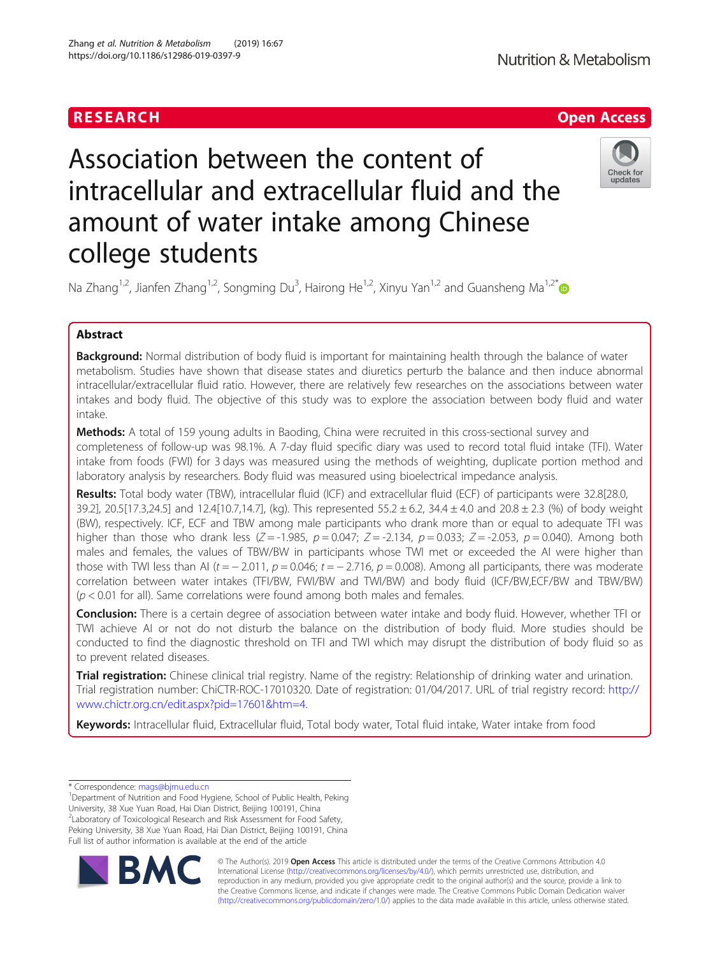## RESEARCH **RESEARCH CHANNEL EXECUTE THE EXECUTIVE OPEN Access**

# Association between the content of intracellular and extracellular fluid and the amount of water intake among Chinese college students



Na Zhang<sup>1,2</sup>, Jianfen Zhang<sup>1,2</sup>, Songming Du<sup>3</sup>, Hairong He<sup>1,2</sup>, Xinyu Yan<sup>1,2</sup> and Guansheng Ma<sup>1,2[\\*](http://orcid.org/0000-0001-8022-4597)</sup>

## Abstract

Background: Normal distribution of body fluid is important for maintaining health through the balance of water metabolism. Studies have shown that disease states and diuretics perturb the balance and then induce abnormal intracellular/extracellular fluid ratio. However, there are relatively few researches on the associations between water intakes and body fluid. The objective of this study was to explore the association between body fluid and water intake.

**Methods:** A total of 159 young adults in Baoding, China were recruited in this cross-sectional survey and completeness of follow-up was 98.1%. A 7-day fluid specific diary was used to record total fluid intake (TFI). Water intake from foods (FWI) for 3 days was measured using the methods of weighting, duplicate portion method and laboratory analysis by researchers. Body fluid was measured using bioelectrical impedance analysis.

Results: Total body water (TBW), intracellular fluid (ICF) and extracellular fluid (ECF) of participants were 32.8[28.0, 39.2], 20.5[17.3,24.5] and 12.4[10.7,14.7], (kg). This represented 55.2  $\pm$  6.2, 34.4  $\pm$  4.0 and 20.8  $\pm$  2.3 (%) of body weight (BW), respectively. ICF, ECF and TBW among male participants who drank more than or equal to adequate TFI was higher than those who drank less (Z = -1.985,  $p = 0.047$ ; Z = -2.134,  $p = 0.033$ ; Z = -2.053,  $p = 0.040$ ). Among both males and females, the values of TBW/BW in participants whose TWI met or exceeded the AI were higher than those with TWI less than AI ( $t = -2.011$ ,  $p = 0.046$ ;  $t = -2.716$ ,  $p = 0.008$ ). Among all participants, there was moderate correlation between water intakes (TFI/BW, FWI/BW and TWI/BW) and body fluid (ICF/BW,ECF/BW and TBW/BW)  $(p < 0.01$  for all). Same correlations were found among both males and females.

Conclusion: There is a certain degree of association between water intake and body fluid. However, whether TFI or TWI achieve AI or not do not disturb the balance on the distribution of body fluid. More studies should be conducted to find the diagnostic threshold on TFI and TWI which may disrupt the distribution of body fluid so as to prevent related diseases.

**Trial registration:** Chinese clinical trial registry. Name of the registry: Relationship of drinking water and urination. Trial registration number: ChiCTR-ROC-17010320. Date of registration: 01/04/2017. URL of trial registry record: [http://](http://www.chictr.org.cn/edit.aspx?pid=17601&htm=4) [www.chictr.org.cn/edit.aspx?pid=17601&htm=4.](http://www.chictr.org.cn/edit.aspx?pid=17601&htm=4)

Keywords: Intracellular fluid, Extracellular fluid, Total body water, Total fluid intake, Water intake from food

<sup>1</sup>Department of Nutrition and Food Hygiene, School of Public Health, Peking University, 38 Xue Yuan Road, Hai Dian District, Beijing 100191, China <sup>2</sup>Laboratory of Toxicological Research and Risk Assessment for Food Safety, Peking University, 38 Xue Yuan Road, Hai Dian District, Beijing 100191, China Full list of author information is available at the end of the article



© The Author(s). 2019 **Open Access** This article is distributed under the terms of the Creative Commons Attribution 4.0 International License [\(http://creativecommons.org/licenses/by/4.0/](http://creativecommons.org/licenses/by/4.0/)), which permits unrestricted use, distribution, and reproduction in any medium, provided you give appropriate credit to the original author(s) and the source, provide a link to the Creative Commons license, and indicate if changes were made. The Creative Commons Public Domain Dedication waiver [\(http://creativecommons.org/publicdomain/zero/1.0/](http://creativecommons.org/publicdomain/zero/1.0/)) applies to the data made available in this article, unless otherwise stated.

<sup>\*</sup> Correspondence: [mags@bjmu.edu.cn](mailto:mags@bjmu.edu.cn) <sup>1</sup>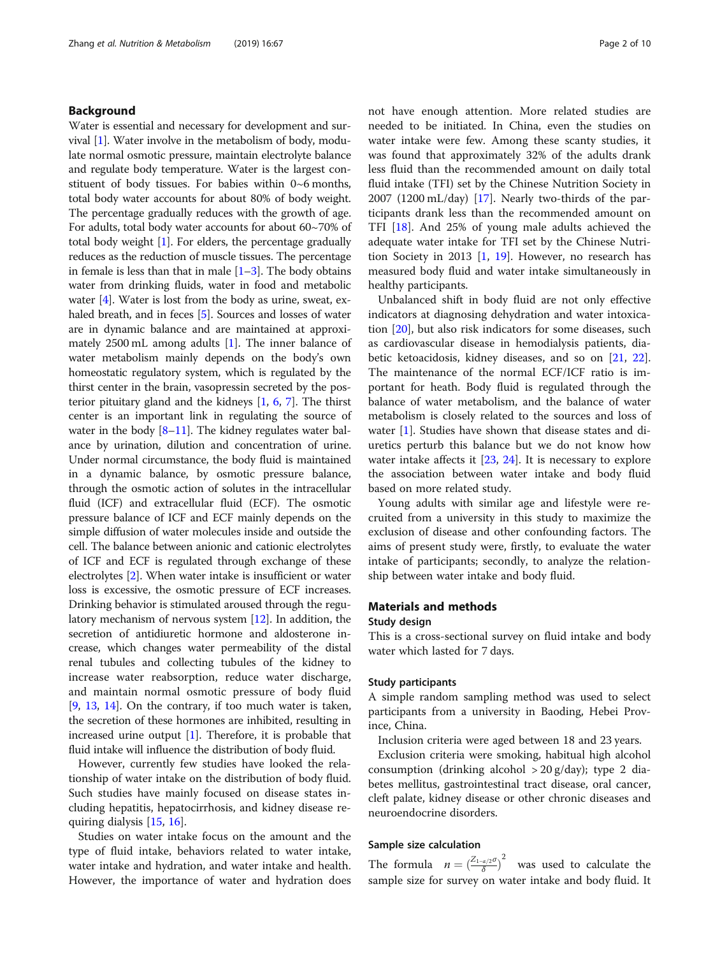## Background

Water is essential and necessary for development and survival [[1\]](#page-8-0). Water involve in the metabolism of body, modulate normal osmotic pressure, maintain electrolyte balance and regulate body temperature. Water is the largest constituent of body tissues. For babies within 0~6 months, total body water accounts for about 80% of body weight. The percentage gradually reduces with the growth of age. For adults, total body water accounts for about 60~70% of total body weight [\[1\]](#page-8-0). For elders, the percentage gradually reduces as the reduction of muscle tissues. The percentage in female is less than that in male  $[1-3]$  $[1-3]$  $[1-3]$ . The body obtains water from drinking fluids, water in food and metabolic water [[4\]](#page-8-0). Water is lost from the body as urine, sweat, ex-haled breath, and in feces [\[5](#page-8-0)]. Sources and losses of water are in dynamic balance and are maintained at approximately 2500 mL among adults [\[1\]](#page-8-0). The inner balance of water metabolism mainly depends on the body's own homeostatic regulatory system, which is regulated by the thirst center in the brain, vasopressin secreted by the posterior pituitary gland and the kidneys [[1](#page-8-0), [6,](#page-8-0) [7](#page-9-0)]. The thirst center is an important link in regulating the source of water in the body  $[8-11]$  $[8-11]$  $[8-11]$  $[8-11]$ . The kidney regulates water balance by urination, dilution and concentration of urine. Under normal circumstance, the body fluid is maintained in a dynamic balance, by osmotic pressure balance, through the osmotic action of solutes in the intracellular fluid (ICF) and extracellular fluid (ECF). The osmotic pressure balance of ICF and ECF mainly depends on the simple diffusion of water molecules inside and outside the cell. The balance between anionic and cationic electrolytes of ICF and ECF is regulated through exchange of these electrolytes [[2](#page-8-0)]. When water intake is insufficient or water loss is excessive, the osmotic pressure of ECF increases. Drinking behavior is stimulated aroused through the regulatory mechanism of nervous system [\[12\]](#page-9-0). In addition, the secretion of antidiuretic hormone and aldosterone increase, which changes water permeability of the distal renal tubules and collecting tubules of the kidney to increase water reabsorption, reduce water discharge, and maintain normal osmotic pressure of body fluid [[9,](#page-9-0) [13](#page-9-0), [14\]](#page-9-0). On the contrary, if too much water is taken, the secretion of these hormones are inhibited, resulting in increased urine output  $[1]$  $[1]$ . Therefore, it is probable that fluid intake will influence the distribution of body fluid.

However, currently few studies have looked the relationship of water intake on the distribution of body fluid. Such studies have mainly focused on disease states including hepatitis, hepatocirrhosis, and kidney disease requiring dialysis [\[15](#page-9-0), [16](#page-9-0)].

Studies on water intake focus on the amount and the type of fluid intake, behaviors related to water intake, water intake and hydration, and water intake and health. However, the importance of water and hydration does not have enough attention. More related studies are needed to be initiated. In China, even the studies on water intake were few. Among these scanty studies, it was found that approximately 32% of the adults drank less fluid than the recommended amount on daily total fluid intake (TFI) set by the Chinese Nutrition Society in 2007 (1200 mL/day) [\[17](#page-9-0)]. Nearly two-thirds of the participants drank less than the recommended amount on TFI [\[18](#page-9-0)]. And 25% of young male adults achieved the adequate water intake for TFI set by the Chinese Nutrition Society in 2013 [\[1,](#page-8-0) [19](#page-9-0)]. However, no research has measured body fluid and water intake simultaneously in healthy participants.

Unbalanced shift in body fluid are not only effective indicators at diagnosing dehydration and water intoxication [\[20](#page-9-0)], but also risk indicators for some diseases, such as cardiovascular disease in hemodialysis patients, diabetic ketoacidosis, kidney diseases, and so on [[21,](#page-9-0) [22](#page-9-0)]. The maintenance of the normal ECF/ICF ratio is important for heath. Body fluid is regulated through the balance of water metabolism, and the balance of water metabolism is closely related to the sources and loss of water [[1\]](#page-8-0). Studies have shown that disease states and diuretics perturb this balance but we do not know how water intake affects it [[23,](#page-9-0) [24\]](#page-9-0). It is necessary to explore the association between water intake and body fluid based on more related study.

Young adults with similar age and lifestyle were recruited from a university in this study to maximize the exclusion of disease and other confounding factors. The aims of present study were, firstly, to evaluate the water intake of participants; secondly, to analyze the relationship between water intake and body fluid.

## Materials and methods

## Study design

This is a cross-sectional survey on fluid intake and body water which lasted for 7 days.

## Study participants

A simple random sampling method was used to select participants from a university in Baoding, Hebei Province, China.

Inclusion criteria were aged between 18 and 23 years.

Exclusion criteria were smoking, habitual high alcohol consumption (drinking alcohol  $> 20$  g/day); type 2 diabetes mellitus, gastrointestinal tract disease, oral cancer, cleft palate, kidney disease or other chronic diseases and neuroendocrine disorders.

## Sample size calculation

The formula  $n = \left(\frac{Z_{1-\alpha/2}\sigma}{\delta}\right)$ 2 was used to calculate the sample size for survey on water intake and body fluid. It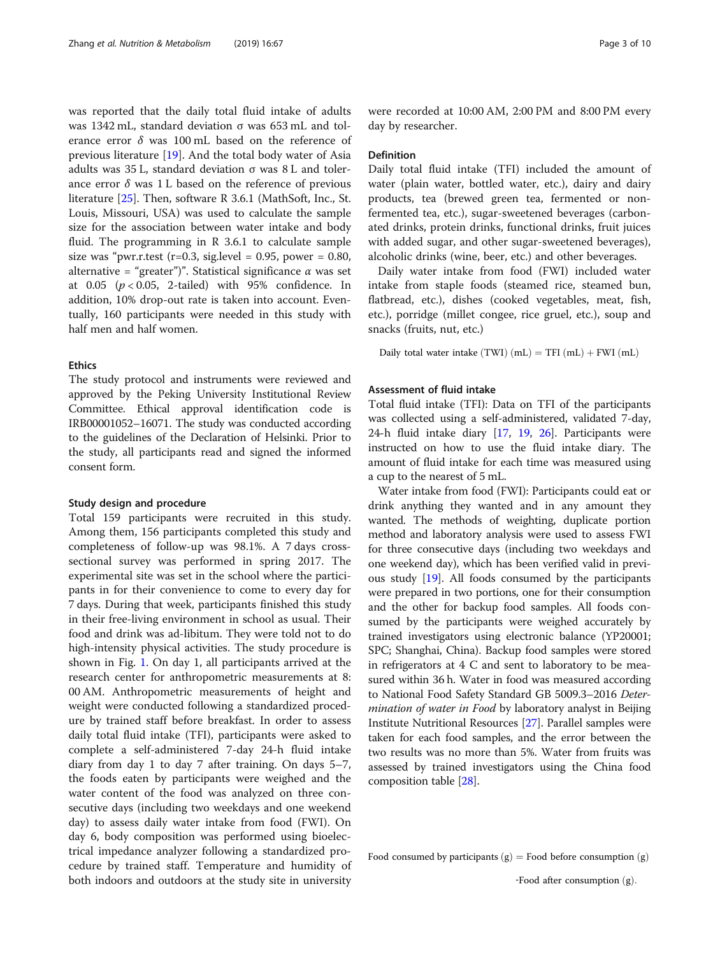was reported that the daily total fluid intake of adults was 1342 mL, standard deviation σ was 653 mL and tolerance error  $\delta$  was 100 mL based on the reference of previous literature  $[19]$  $[19]$ . And the total body water of Asia adults was 35 L, standard deviation σ was 8 L and tolerance error  $\delta$  was 1 L based on the reference of previous literature [\[25\]](#page-9-0). Then, software R 3.6.1 (MathSoft, Inc., St. Louis, Missouri, USA) was used to calculate the sample size for the association between water intake and body fluid. The programming in R 3.6.1 to calculate sample size was "pwr.r.test (r=0.3, sig.level = 0.95, power = 0.80, alternative = "greater")". Statistical significance  $\alpha$  was set at  $0.05$  ( $p < 0.05$ , 2-tailed) with 95% confidence. In addition, 10% drop-out rate is taken into account. Eventually, 160 participants were needed in this study with half men and half women.

## **Ethics**

The study protocol and instruments were reviewed and approved by the Peking University Institutional Review Committee. Ethical approval identification code is IRB00001052–16071. The study was conducted according to the guidelines of the Declaration of Helsinki. Prior to the study, all participants read and signed the informed consent form.

## Study design and procedure

Total 159 participants were recruited in this study. Among them, 156 participants completed this study and completeness of follow-up was 98.1%. A 7 days crosssectional survey was performed in spring 2017. The experimental site was set in the school where the participants in for their convenience to come to every day for 7 days. During that week, participants finished this study in their free-living environment in school as usual. Their food and drink was ad-libitum. They were told not to do high-intensity physical activities. The study procedure is shown in Fig. [1.](#page-3-0) On day 1, all participants arrived at the research center for anthropometric measurements at 8: 00 AM. Anthropometric measurements of height and weight were conducted following a standardized procedure by trained staff before breakfast. In order to assess daily total fluid intake (TFI), participants were asked to complete a self-administered 7-day 24-h fluid intake diary from day 1 to day 7 after training. On days 5–7, the foods eaten by participants were weighed and the water content of the food was analyzed on three consecutive days (including two weekdays and one weekend day) to assess daily water intake from food (FWI). On day 6, body composition was performed using bioelectrical impedance analyzer following a standardized procedure by trained staff. Temperature and humidity of both indoors and outdoors at the study site in university

were recorded at 10:00 AM, 2:00 PM and 8:00 PM every day by researcher.

## Definition

Daily total fluid intake (TFI) included the amount of water (plain water, bottled water, etc.), dairy and dairy products, tea (brewed green tea, fermented or nonfermented tea, etc.), sugar-sweetened beverages (carbonated drinks, protein drinks, functional drinks, fruit juices with added sugar, and other sugar-sweetened beverages), alcoholic drinks (wine, beer, etc.) and other beverages.

Daily water intake from food (FWI) included water intake from staple foods (steamed rice, steamed bun, flatbread, etc.), dishes (cooked vegetables, meat, fish, etc.), porridge (millet congee, rice gruel, etc.), soup and snacks (fruits, nut, etc.)

Daily total water intake  $(TWI)$   $(mL) = TFI$   $(mL) + FWI$   $(mL)$ 

## Assessment of fluid intake

Total fluid intake (TFI): Data on TFI of the participants was collected using a self-administered, validated 7-day, 24-h fluid intake diary [\[17,](#page-9-0) [19](#page-9-0), [26\]](#page-9-0). Participants were instructed on how to use the fluid intake diary. The amount of fluid intake for each time was measured using a cup to the nearest of 5 mL.

Water intake from food (FWI): Participants could eat or drink anything they wanted and in any amount they wanted. The methods of weighting, duplicate portion method and laboratory analysis were used to assess FWI for three consecutive days (including two weekdays and one weekend day), which has been verified valid in previous study [\[19](#page-9-0)]. All foods consumed by the participants were prepared in two portions, one for their consumption and the other for backup food samples. All foods consumed by the participants were weighed accurately by trained investigators using electronic balance (YP20001; SPC; Shanghai, China). Backup food samples were stored in refrigerators at 4 C and sent to laboratory to be measured within 36 h. Water in food was measured according to National Food Safety Standard GB 5009.3–2016 Determination of water in Food by laboratory analyst in Beijing Institute Nutritional Resources [[27](#page-9-0)]. Parallel samples were taken for each food samples, and the error between the two results was no more than 5%. Water from fruits was assessed by trained investigators using the China food composition table [[28\]](#page-9-0).

Food consumed by participants  $(g)$  = Food before consumption  $(g)$ 

<sup>-</sup>Food after consumption  $(g)$ .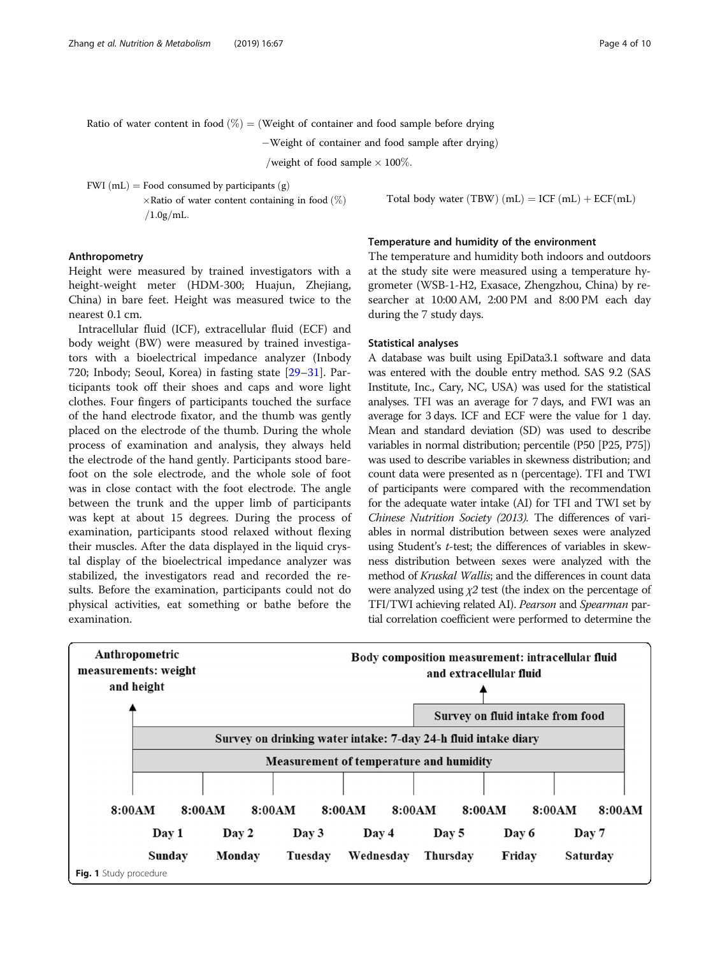<span id="page-3-0"></span>Ratio of water content in food 
$$
(\%) = (\text{Weight of container and food sample before drying}
$$

 $-W$ eight of container and food sample after drying)

/weight of food sample  $\times$  100%.

FWI (mL) = Food consumed by participants  $(g)$ 

 $\times$ Ratio of water content containing in food  $(\%)$  $/1.0$ g $/mL$ .

Total body water (TBW)  $(mL) = ICF (mL) + ECF (mL)$ 

## Anthropometry

Height were measured by trained investigators with a height-weight meter (HDM-300; Huajun, Zhejiang, China) in bare feet. Height was measured twice to the nearest 0.1 cm.

Intracellular fluid (ICF), extracellular fluid (ECF) and body weight (BW) were measured by trained investigators with a bioelectrical impedance analyzer (Inbody 720; Inbody; Seoul, Korea) in fasting state [[29](#page-9-0)–[31](#page-9-0)]. Participants took off their shoes and caps and wore light clothes. Four fingers of participants touched the surface of the hand electrode fixator, and the thumb was gently placed on the electrode of the thumb. During the whole process of examination and analysis, they always held the electrode of the hand gently. Participants stood barefoot on the sole electrode, and the whole sole of foot was in close contact with the foot electrode. The angle between the trunk and the upper limb of participants was kept at about 15 degrees. During the process of examination, participants stood relaxed without flexing their muscles. After the data displayed in the liquid crystal display of the bioelectrical impedance analyzer was stabilized, the investigators read and recorded the results. Before the examination, participants could not do physical activities, eat something or bathe before the examination.

## Temperature and humidity of the environment

The temperature and humidity both indoors and outdoors at the study site were measured using a temperature hygrometer (WSB-1-H2, Exasace, Zhengzhou, China) by researcher at 10:00 AM, 2:00 PM and 8:00 PM each day during the 7 study days.

## Statistical analyses

A database was built using EpiData3.1 software and data was entered with the double entry method. SAS 9.2 (SAS Institute, Inc., Cary, NC, USA) was used for the statistical analyses. TFI was an average for 7 days, and FWI was an average for 3 days. ICF and ECF were the value for 1 day. Mean and standard deviation (SD) was used to describe variables in normal distribution; percentile (P50 [P25, P75]) was used to describe variables in skewness distribution; and count data were presented as n (percentage). TFI and TWI of participants were compared with the recommendation for the adequate water intake (AI) for TFI and TWI set by Chinese Nutrition Society (2013). The differences of variables in normal distribution between sexes were analyzed using Student's t-test; the differences of variables in skewness distribution between sexes were analyzed with the method of Kruskal Wallis; and the differences in count data were analyzed using  $\chi$ 2 test (the index on the percentage of TFI/TWI achieving related AI). Pearson and Spearman partial correlation coefficient were performed to determine the

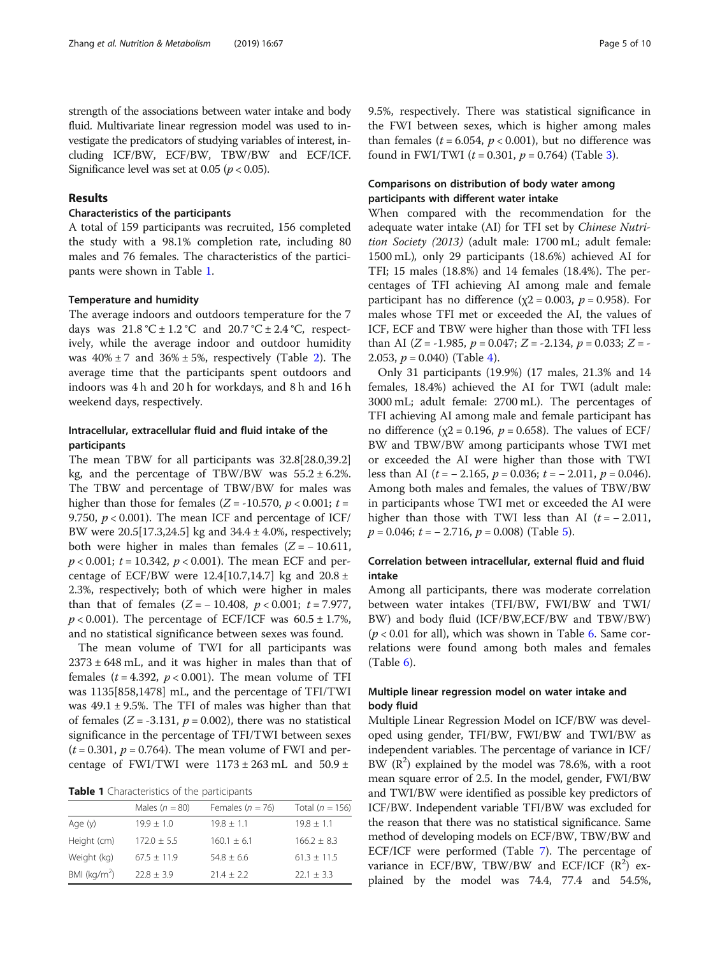strength of the associations between water intake and body fluid. Multivariate linear regression model was used to investigate the predicators of studying variables of interest, including ICF/BW, ECF/BW, TBW/BW and ECF/ICF. Significance level was set at 0.05 ( $p < 0.05$ ).

## Results

## Characteristics of the participants

A total of 159 participants was recruited, 156 completed the study with a 98.1% completion rate, including 80 males and 76 females. The characteristics of the participants were shown in Table 1.

## Temperature and humidity

The average indoors and outdoors temperature for the 7 days was  $21.8 \text{ °C} \pm 1.2 \text{ °C}$  and  $20.7 \text{ °C} \pm 2.4 \text{ °C}$ , respectively, while the average indoor and outdoor humidity was  $40\% \pm 7$  and  $36\% \pm 5\%$ , respectively (Table [2](#page-5-0)). The average time that the participants spent outdoors and indoors was 4 h and 20 h for workdays, and 8 h and 16 h weekend days, respectively.

## Intracellular, extracellular fluid and fluid intake of the participants

The mean TBW for all participants was 32.8[28.0,39.2] kg, and the percentage of TBW/BW was  $55.2 \pm 6.2$ %. The TBW and percentage of TBW/BW for males was higher than those for females ( $Z = -10.570$ ,  $p < 0.001$ ;  $t =$ 9.750,  $p < 0.001$ ). The mean ICF and percentage of ICF/ BW were 20.5[17.3,24.5] kg and 34.4 ± 4.0%, respectively; both were higher in males than females  $(Z = -10.611$ ,  $p < 0.001$ ;  $t = 10.342$ ,  $p < 0.001$ ). The mean ECF and percentage of ECF/BW were  $12.4[10.7,14.7]$  kg and  $20.8 \pm$ 2.3%, respectively; both of which were higher in males than that of females  $(Z = -10.408, p < 0.001; t = 7.977,$  $p < 0.001$ ). The percentage of ECF/ICF was  $60.5 \pm 1.7$ %, and no statistical significance between sexes was found.

The mean volume of TWI for all participants was  $2373 \pm 648$  mL, and it was higher in males than that of females ( $t = 4.392$ ,  $p < 0.001$ ). The mean volume of TFI was 1135[858,1478] mL, and the percentage of TFI/TWI was  $49.1 \pm 9.5$ %. The TFI of males was higher than that of females ( $Z = -3.131$ ,  $p = 0.002$ ), there was no statistical significance in the percentage of TFI/TWI between sexes  $(t = 0.301, p = 0.764)$ . The mean volume of FWI and percentage of FWI/TWI were  $1173 \pm 263$  mL and  $50.9 \pm$ 

Table 1 Characteristics of the participants

|                 | Males $(n = 80)$ | Females ( $n = 76$ ) | Total ( $n = 156$ ) |
|-----------------|------------------|----------------------|---------------------|
| Age (y)         | $19.9 + 1.0$     | $19.8 + 1.1$         | $19.8 + 1.1$        |
| Height (cm)     | $172.0 + 5.5$    | $160.1 + 6.1$        | $166.2 + 8.3$       |
| Weight (kg)     | $67.5 + 11.9$    | $54.8 + 6.6$         | $61.3 + 11.5$       |
| BMI ( $kg/m2$ ) | $72.8 + 3.9$     | $21.4 + 2.2$         | $22.1 + 3.3$        |

9.5%, respectively. There was statistical significance in the FWI between sexes, which is higher among males than females ( $t = 6.054$ ,  $p < 0.001$ ), but no difference was found in FWI/TWI ( $t = 0.301$ ,  $p = 0.764$ ) (Table [3\)](#page-5-0).

## Comparisons on distribution of body water among participants with different water intake

When compared with the recommendation for the adequate water intake (AI) for TFI set by Chinese Nutrition Society (2013) (adult male: 1700 mL; adult female: 1500 mL), only 29 participants (18.6%) achieved AI for TFI; 15 males (18.8%) and 14 females (18.4%). The percentages of TFI achieving AI among male and female participant has no difference ( $\chi$ 2 = 0.003,  $p$  = 0.958). For males whose TFI met or exceeded the AI, the values of ICF, ECF and TBW were higher than those with TFI less than AI ( $Z = -1.985$ ,  $p = 0.047$ ;  $Z = -2.134$ ,  $p = 0.033$ ;  $Z = -$ 2.053,  $p = 0.040$  $p = 0.040$  $p = 0.040$  (Table 4).

Only 31 participants (19.9%) (17 males, 21.3% and 14 females, 18.4%) achieved the AI for TWI (adult male: 3000 mL; adult female: 2700 mL). The percentages of TFI achieving AI among male and female participant has no difference ( $χ$ 2 = 0.196,  $p$  = 0.658). The values of ECF/ BW and TBW/BW among participants whose TWI met or exceeded the AI were higher than those with TWI less than AI ( $t = -2.165$ ,  $p = 0.036$ ;  $t = -2.011$ ,  $p = 0.046$ ). Among both males and females, the values of TBW/BW in participants whose TWI met or exceeded the AI were higher than those with TWI less than AI  $(t = -2.011,$  $p = 0.046$ ;  $t = -2.716$ ,  $p = 0.008$ ) (Table [5](#page-6-0)).

## Correlation between intracellular, external fluid and fluid intake

Among all participants, there was moderate correlation between water intakes (TFI/BW, FWI/BW and TWI/ BW) and body fluid (ICF/BW,ECF/BW and TBW/BW)  $(p < 0.01$  for all), which was shown in Table [6.](#page-7-0) Same correlations were found among both males and females (Table [6\)](#page-7-0).

## Multiple linear regression model on water intake and body fluid

Multiple Linear Regression Model on ICF/BW was developed using gender, TFI/BW, FWI/BW and TWI/BW as independent variables. The percentage of variance in ICF/ BW  $(R^2)$  explained by the model was 78.6%, with a root mean square error of 2.5. In the model, gender, FWI/BW and TWI/BW were identified as possible key predictors of ICF/BW. Independent variable TFI/BW was excluded for the reason that there was no statistical significance. Same method of developing models on ECF/BW, TBW/BW and ECF/ICF were performed (Table [7](#page-7-0)). The percentage of variance in ECF/BW, TBW/BW and ECF/ICF  $(R^2)$  explained by the model was 74.4, 77.4 and 54.5%,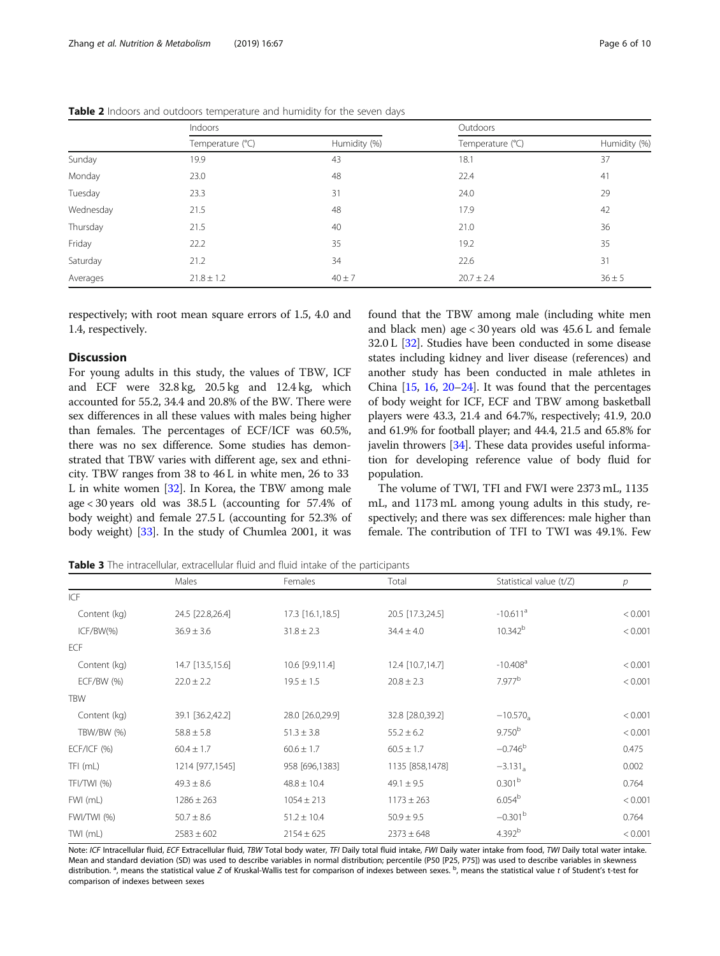|           | Indoors          |              | Outdoors         |              |  |
|-----------|------------------|--------------|------------------|--------------|--|
|           | Temperature (°C) | Humidity (%) | Temperature (°C) | Humidity (%) |  |
| Sunday    | 19.9             | 43           | 18.1             | 37           |  |
| Monday    | 23.0             | 48           | 22.4             | 41           |  |
| Tuesday   | 23.3             | 31           | 24.0             | 29           |  |
| Wednesday | 21.5             | 48           | 17.9             | 42           |  |
| Thursday  | 21.5             | 40           | 21.0             | 36           |  |
| Friday    | 22.2             | 35           | 19.2             | 35           |  |
| Saturday  | 21.2             | 34           | 22.6             | 31           |  |
| Averages  | $21.8 \pm 1.2$   | $40 \pm 7$   | $20.7 \pm 2.4$   | $36 \pm 5$   |  |

<span id="page-5-0"></span>Table 2 Indoors and outdoors temperature and humidity for the seven days

respectively; with root mean square errors of 1.5, 4.0 and 1.4, respectively.

## **Discussion**

For young adults in this study, the values of TBW, ICF and ECF were 32.8 kg, 20.5 kg and 12.4 kg, which accounted for 55.2, 34.4 and 20.8% of the BW. There were sex differences in all these values with males being higher than females. The percentages of ECF/ICF was 60.5%, there was no sex difference. Some studies has demonstrated that TBW varies with different age, sex and ethnicity. TBW ranges from 38 to 46 L in white men, 26 to 33 L in white women [[32](#page-9-0)]. In Korea, the TBW among male age < 30 years old was 38.5 L (accounting for 57.4% of body weight) and female 27.5 L (accounting for 52.3% of body weight) [[33](#page-9-0)]. In the study of Chumlea 2001, it was

found that the TBW among male (including white men and black men) age < 30 years old was 45.6 L and female 32.0 L [\[32\]](#page-9-0). Studies have been conducted in some disease states including kidney and liver disease (references) and another study has been conducted in male athletes in China  $[15, 16, 20-24]$  $[15, 16, 20-24]$  $[15, 16, 20-24]$  $[15, 16, 20-24]$  $[15, 16, 20-24]$  $[15, 16, 20-24]$  $[15, 16, 20-24]$  $[15, 16, 20-24]$ . It was found that the percentages of body weight for ICF, ECF and TBW among basketball players were 43.3, 21.4 and 64.7%, respectively; 41.9, 20.0 and 61.9% for football player; and 44.4, 21.5 and 65.8% for javelin throwers [[34\]](#page-9-0). These data provides useful information for developing reference value of body fluid for population.

The volume of TWI, TFI and FWI were 2373 mL, 1135 mL, and 1173 mL among young adults in this study, respectively; and there was sex differences: male higher than female. The contribution of TFI to TWI was 49.1%. Few

Table 3 The intracellular, extracellular fluid and fluid intake of the participants

|                   | Males            | Females          | Total            | Statistical value (t/Z) | р       |
|-------------------|------------------|------------------|------------------|-------------------------|---------|
| ICF               |                  |                  |                  |                         |         |
| Content (kg)      | 24.5 [22.8,26.4] | 17.3 [16.1,18.5] | 20.5 [17.3,24.5] | $-10.611$ <sup>a</sup>  | < 0.001 |
| $ICF/BW(\%)$      | $36.9 \pm 3.6$   | $31.8 \pm 2.3$   | $34.4 \pm 4.0$   | $10.342^{b}$            | < 0.001 |
| <b>ECF</b>        |                  |                  |                  |                         |         |
| Content (kg)      | 14.7 [13.5,15.6] | 10.6 [9.9,11.4]  | 12.4 [10.7,14.7] | $-10.408$ <sup>a</sup>  | < 0.001 |
| <b>ECF/BW (%)</b> | $22.0 \pm 2.2$   | $19.5 \pm 1.5$   | $20.8 \pm 2.3$   | 7.977 <sup>b</sup>      | < 0.001 |
| <b>TBW</b>        |                  |                  |                  |                         |         |
| Content (kg)      | 39.1 [36.2,42.2] | 28.0 [26.0,29.9] | 32.8 [28.0,39.2] | $-10.570_a$             | < 0.001 |
| TBW/BW (%)        | $58.8 \pm 5.8$   | $51.3 \pm 3.8$   | $55.2 \pm 6.2$   | 9.750 <sup>b</sup>      | < 0.001 |
| $ECF/ICF$ (%)     | $60.4 \pm 1.7$   | $60.6 \pm 1.7$   | $60.5 \pm 1.7$   | $-0.746^b$              | 0.475   |
| TFI (mL)          | 1214 [977,1545]  | 958 [696,1383]   | 1135 [858,1478]  | $-3.131_a$              | 0.002   |
| TFI/TWI (%)       | $49.3 \pm 8.6$   | $48.8 \pm 10.4$  | $49.1 \pm 9.5$   | 0.301 <sup>b</sup>      | 0.764   |
| FWI (mL)          | $1286 \pm 263$   | $1054 \pm 213$   | $1173 \pm 263$   | 6.054 <sup>b</sup>      | < 0.001 |
| FWI/TWI (%)       | $50.7 \pm 8.6$   | $51.2 \pm 10.4$  | $50.9 \pm 9.5$   | $-0.301b$               | 0.764   |
| TWI (mL)          | $2583 \pm 602$   | $2154 \pm 625$   | $2373 \pm 648$   | 4.392 <sup>b</sup>      | < 0.001 |

Note: ICF Intracellular fluid, ECF Extracellular fluid, TBW Total body water, TFI Daily total fluid intake, FWI Daily water intake from food, TWI Daily total water intake. Mean and standard deviation (SD) was used to describe variables in normal distribution; percentile (P50 [P25, P75]) was used to describe variables in skewness distribution.<sup>a</sup>, means the statistical value Z of Kruskal-Wallis test for comparison of indexes between sexes. <sup>b</sup>, means the statistical value t of Student's t-test for comparison of indexes between sexes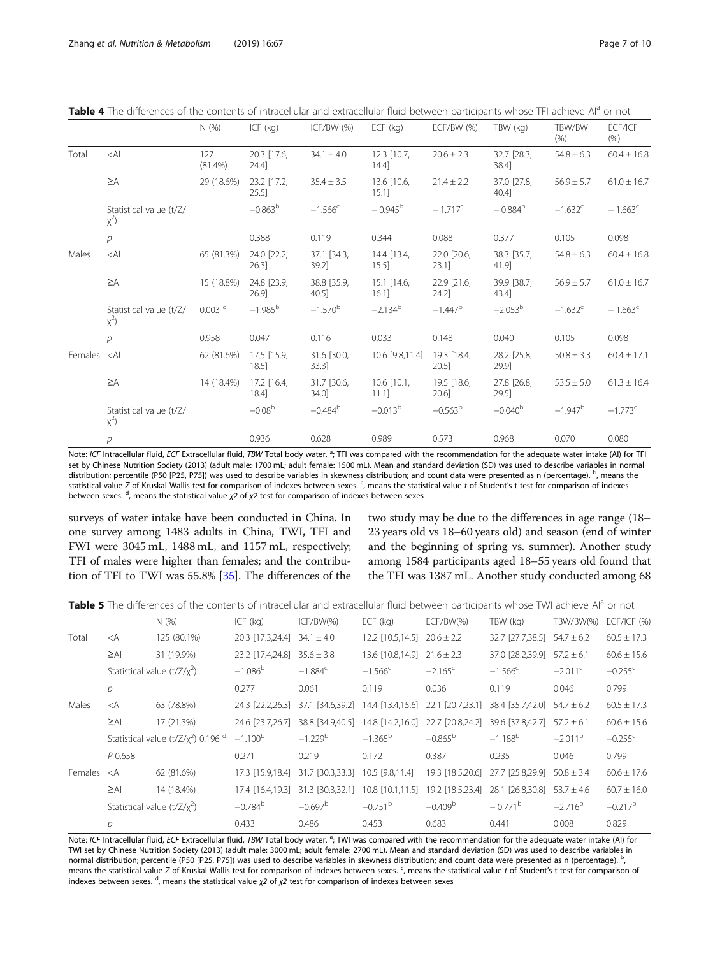<span id="page-6-0"></span>Table 4 The differences of the contents of intracellular and extracellular fluid between participants whose TFI achieve AI<sup>a</sup> or not

|         |                                     | N(% )              | ICF $(kq)$              | ICF/BW (%)           | $ECF$ (kg)                | $ECF/BW$ (%)         | TBW (kg)             | TBW/BW<br>(% )   | ECF/ICF<br>(% )       |
|---------|-------------------------------------|--------------------|-------------------------|----------------------|---------------------------|----------------------|----------------------|------------------|-----------------------|
| Total   | $<$ Al                              | 127<br>$(81.4\%)$  | 20.3 [17.6,<br>24.4     | $34.1 \pm 4.0$       | $12.3$ [10.7,<br>$14.4$ ] | $20.6 \pm 2.3$       | 32.7 [28.3,<br>38.4  | $54.8 \pm 6.3$   | $60.4 \pm 16.8$       |
|         | $\geq$ AI                           | 29 (18.6%)         | 23.2 [17.2,<br>25.5     | $35.4 \pm 3.5$       | 13.6 [10.6,<br>$15.1$ ]   | $21.4 \pm 2.2$       | 37.0 [27.8,<br>40.4] | $56.9 \pm 5.7$   | $61.0 \pm 16.7$       |
|         | Statistical value (t/Z/<br>$\chi^2$ |                    | $-0.863^b$              | $-1.566^{\circ}$     | $-0.945^{\rm b}$          | $-1.717^{\circ}$     | $-0.884^b$           | $-1.632^{\circ}$ | $-1.663^{\circ}$      |
|         | $\mathcal{P}$                       |                    | 0.388                   | 0.119                | 0.344                     | 0.088                | 0.377                | 0.105            | 0.098                 |
| Males   | $<$ Al                              | 65 (81.3%)         | 24.0 [22.2,<br>26.3     | 37.1 [34.3,<br>39.2] | 14.4 [13.4,<br>$15.5$ ]   | 22.0 [20.6,<br>23.1] | 38.3 [35.7,<br>41.9  | $54.8 \pm 6.3$   | $60.4 \pm 16.8$       |
|         | $\geq$ AI                           | 15 (18.8%)         | 24.8 [23.9,<br>26.9     | 38.8 [35.9,<br>40.5] | 15.1 [14.6,<br>$16.1$ ]   | 22.9 [21.6,<br>24.2  | 39.9 [38.7,<br>43.4  | $56.9 \pm 5.7$   | $61.0 \pm 16.7$       |
|         | Statistical value (t/Z/<br>$\chi^2$ | 0.003 <sup>d</sup> | $-1.985^b$              | $-1.570^{b}$         | $-2.134^{b}$              | $-1.447^{b}$         | $-2.053^{\rm b}$     | $-1.632^{\circ}$ | $-1.663^c$            |
|         | $\overline{p}$                      | 0.958              | 0.047                   | 0.116                | 0.033                     | 0.148                | 0.040                | 0.105            | 0.098                 |
| Females | $\leq$ Al                           | 62 (81.6%)         | 17.5 [15.9,<br>$18.5$ ] | 31.6 [30.0,<br>33.31 | 10.6 [9.8,11.4]           | 19.3 [18.4,<br>20.5  | 28.2 [25.8,<br>29.9  | $50.8 \pm 3.3$   | $60.4 \pm 17.1$       |
|         | $\geq$ AI                           | 14 (18.4%)         | 17.2 [16.4,<br>$18.4$ ] | 31.7 [30.6,<br>34.0  | $10.6$ [10.1,<br>11.11    | 19.5 [18.6,<br>20.6] | 27.8 [26.8,<br>29.5] | $53.5 \pm 5.0$   | $61.3 \pm 16.4$       |
|         | Statistical value (t/Z/<br>$\chi^2$ |                    | $-0.08b$                | $-0.484^{b}$         | $-0.013^b$                | $-0.563^b$           | $-0.040^{\rm b}$     | $-1.947^b$       | $-1.773$ <sup>c</sup> |
|         | $\overline{p}$                      |                    | 0.936                   | 0.628                | 0.989                     | 0.573                | 0.968                | 0.070            | 0.080                 |

Note: ICF Intracellular fluid, ECF Extracellular fluid, TBW Total body water.<sup>3</sup>; TFI was compared with the recommendation for the adequate water intake (AI) for TFI set by Chinese Nutrition Society (2013) (adult male: 1700 mL; adult female: 1500 mL). Mean and standard deviation (SD) was used to describe variables in normal distribution; percentile (P50 [P25, P75]) was used to describe variables in skewness distribution; and count data were presented as n (percentage). <sup>b</sup>, means the statistical value Z of Kruskal-Wallis test for comparison of indexes between sexes. <sup>c</sup>, means the statistical value t of Student's t-test for comparison of indexes between sexes. <sup>d</sup>, means the statistical value  $\chi$ 2 of  $\chi$ 2 test for comparison of indexes between sexes

surveys of water intake have been conducted in China. In one survey among 1483 adults in China, TWI, TFI and FWI were 3045 mL, 1488 mL, and 1157 mL, respectively; TFI of males were higher than females; and the contribution of TFI to TWI was 55.8% [\[35](#page-9-0)]. The differences of the

two study may be due to the differences in age range (18– 23 years old vs 18–60 years old) and season (end of winter and the beginning of spring vs. summer). Another study among 1584 participants aged 18–55 years old found that the TFI was 1387 mL. Another study conducted among 68

Table 5 The differences of the contents of intracellular and extracellular fluid between participants whose TWI achieve AI<sup>a</sup> or not

|         |                | N(%)                                                                    | $ICF$ ( $kq$ )                 | ICF/BW(%)                         | $ECF$ (kg)                                                          | $ECF/BW(\%)$     | TBW (kg)                          | TBW/BW(%)             | <b>ECF/ICF (%)</b>    |
|---------|----------------|-------------------------------------------------------------------------|--------------------------------|-----------------------------------|---------------------------------------------------------------------|------------------|-----------------------------------|-----------------------|-----------------------|
| Total   | $<$ Al         | 125 (80.1%)                                                             | 20.3 $[17.3, 24.4]$ 34.1 ± 4.0 |                                   | 12.2 $[10.5, 14.5]$ 20.6 ± 2.2                                      |                  | $32.7$ [27.7,38.5] $54.7 \pm 6.2$ |                       | $60.5 \pm 17.3$       |
|         | $\geq$ AI      | 31 (19.9%)                                                              | 23.2 [17.4,24.8]               | $35.6 \pm 3.8$                    | 13.6 $[10.8, 14.9]$ 21.6 ± 2.3                                      |                  | 37.0 $[28.2,39.9]$ 57.2 ± 6.1     |                       | $60.6 \pm 15.6$       |
|         |                | Statistical value $(t/Z/\chi^2)$                                        | $-1.086^{\rm b}$               | $-1.884^c$                        | $-1.566^{\circ}$                                                    | $-2.165^{\circ}$ | $-1.566^{\circ}$                  | $-2.011$ <sup>c</sup> | $-0.255$ <sup>c</sup> |
|         | $\overline{p}$ |                                                                         | 0.277                          | 0.061                             | 0.119                                                               | 0.036            | 0.119                             | 0.046                 | 0.799                 |
| Males   | $<$ Al         | 63 (78.8%)                                                              |                                | 24.3 [22.2,26.3] 37.1 [34.6,39.2] | $14.4$ [13.4,15.6] 22.1 [20.7,23.1] 38.4 [35.7,42.0] 54.7 $\pm$ 6.2 |                  |                                   |                       | $60.5 \pm 17.3$       |
|         | $\geq$ AI      | 17 (21.3%)                                                              | 24.6 [23.7,26.7]               | 38.8 [34.9,40.5]                  | $14.8$ [14.2,16.0] 22.7 [20.8,24.2] 39.6 [37.8,42.7] 57.2 $\pm$ 6.1 |                  |                                   |                       | $60.6 \pm 15.6$       |
|         |                | Statistical value (t/Z/ $\chi^2$ ) 0.196 $\text{d}$ -1.100 <sup>b</sup> |                                | $-1.229^{b}$                      | $-1.365^b$                                                          | $-0.865^{\rm b}$ | $-1.188^{b}$                      | $-2.011$ <sup>b</sup> | $-0.255$ <sup>c</sup> |
|         | P 0.658        |                                                                         | 0.271                          | 0.219                             | 0.172                                                               | 0.387            | 0.235                             | 0.046                 | 0.799                 |
| Females | $\leq$ Al      | 62 (81.6%)                                                              |                                | 17.3 [15.9,18.4] 31.7 [30.3,33.3] | 10.5 [9.8,11.4]                                                     | 19.3 [18.5,20.6] | 27.7 [25.8,29.9]                  | $50.8 \pm 3.4$        | $60.6 \pm 17.6$       |
|         | $\geq$ AI      | 14 (18.4%)                                                              | 17.4 [16.4.19.3]               | 31.3 [30.3,32.1]                  | 10.8 [10.1,11.5] 19.2 [18.5,23.4]                                   |                  | 28.1 [26.8,30.8]                  | $53.7 \pm 4.6$        | $60.7 \pm 16.0$       |
|         |                | Statistical value $(t/Z/\chi^2)$                                        | $-0.784^b$                     | $-0.697^b$                        | $-0.751$ <sup>b</sup>                                               | $-0.409b$        | $-0.771^{\rm b}$                  | $-2.716^b$            | $-0.217^b$            |
|         | р              |                                                                         | 0.433                          | 0.486                             | 0.453                                                               | 0.683            | 0.441                             | 0.008                 | 0.829                 |
|         |                |                                                                         |                                |                                   |                                                                     |                  |                                   |                       |                       |

Note: ICF Intracellular fluid, ECF Extracellular fluid, TBW Total body water.<sup>a</sup>; TWI was compared with the recommendation for the adequate water intake (AI) for TWI set by Chinese Nutrition Society (2013) (adult male: 3000 mL; adult female: 2700 mL). Mean and standard deviation (SD) was used to describe variables in normal distribution; percentile (P50 [P25, P75]) was used to describe variables in skewness distribution; and count data were presented as n (percentage).  $^{\text{b}}$ , , means the statistical value Z of Kruskal-Wallis test for comparison of indexes between sexes. <sup>c</sup>, means the statistical value t of Student's t-test for comparison of indexes between sexes. <sup>d</sup>, means the statistical value  $\chi$ 2 of  $\chi$ 2 test for comparison of indexes between sexes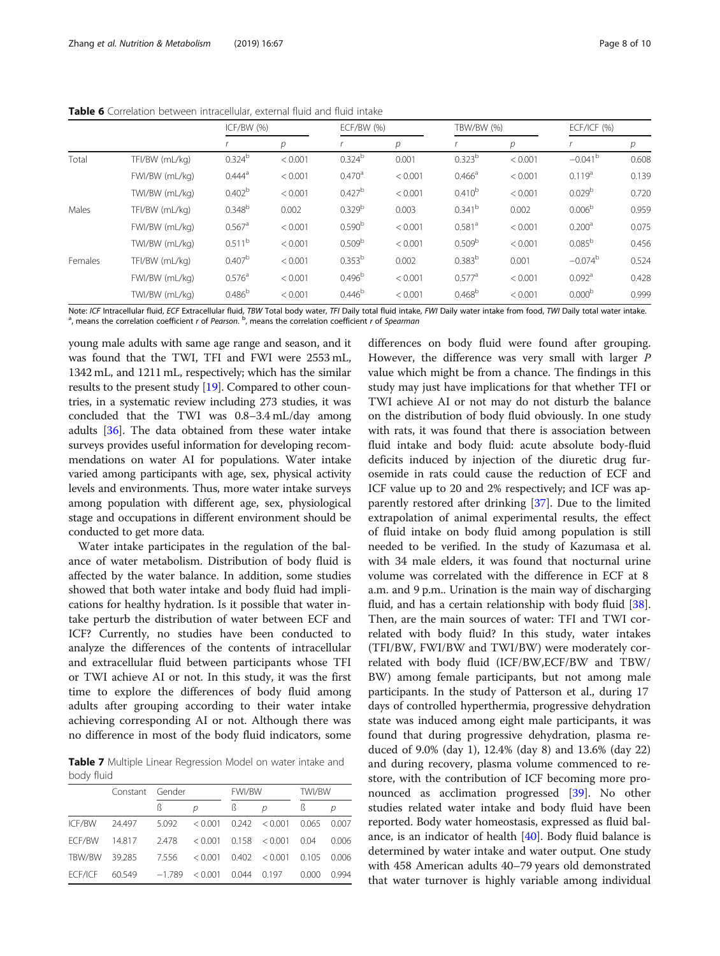<span id="page-7-0"></span>Table 6 Correlation between intracellular, external fluid and fluid intake

|         |                | ICF/BW (%)           |         |                    | $ECF/BW$ (%)<br>TBW/BW (%) |                      |         | $ECF/ICF$ (%)         |       |
|---------|----------------|----------------------|---------|--------------------|----------------------------|----------------------|---------|-----------------------|-------|
|         |                |                      | р       |                    | $\overline{p}$             |                      | р       |                       | р     |
| Total   | TFI/BW (mL/kg) | 0.324 <sup>b</sup>   | < 0.001 | $0.324^{b}$        | 0.001                      | $0.323^{b}$          | < 0.001 | $-0.041$ <sup>b</sup> | 0.608 |
|         | FWI/BW (mL/kg) | $0.444^a$            | < 0.001 | 0.470 <sup>a</sup> | < 0.001                    | $0.466^a$            | < 0.001 | 0.119 <sup>a</sup>    | 0.139 |
|         | TWI/BW (mL/kg) | 0.402 <sup>b</sup>   | < 0.001 | 0.427 <sup>b</sup> | < 0.001                    | $0.410^{b}$          | < 0.001 | 0.029 <sup>b</sup>    | 0.720 |
| Males   | TFI/BW (mL/kg) | $0.348^{b}$          | 0.002   | 0.329 <sup>b</sup> | 0.003                      | 0.341 <sup>b</sup>   | 0.002   | 0.006 <sup>b</sup>    | 0.959 |
|         | FWI/BW (mL/kg) | $0.567$ <sup>a</sup> | < 0.001 | 0.590 <sup>b</sup> | < 0.001                    | 0.581 <sup>a</sup>   | < 0.001 | 0.200 <sup>a</sup>    | 0.075 |
|         | TWI/BW (mL/kg) | 0.511 <sup>b</sup>   | < 0.001 | 0.509 <sup>b</sup> | < 0.001                    | 0.509 <sup>b</sup>   | < 0.001 | 0.085 <sup>b</sup>    | 0.456 |
| Females | TFI/BW (mL/kg) | 0.407 <sup>b</sup>   | < 0.001 | 0.353 <sup>b</sup> | 0.002                      | 0.383 <sup>b</sup>   | 0.001   | $-0.074^b$            | 0.524 |
|         | FWI/BW (mL/kg) | 0.576 <sup>a</sup>   | < 0.001 | 0.496 <sup>b</sup> | < 0.001                    | $0.577$ <sup>a</sup> | < 0.001 | $0.092$ <sup>a</sup>  | 0.428 |
|         | TWI/BW (mL/kg) | 0.486 <sup>b</sup>   | < 0.001 | 0.446 <sup>b</sup> | < 0.001                    | 0.468 <sup>b</sup>   | < 0.001 | 0.000 <sup>b</sup>    | 0.999 |

Note: ICF Intracellular fluid, ECF Extracellular fluid, TBW Total body water, TFI Daily total fluid intake, FWI Daily water intake from food, TWI Daily total water intake. , means the correlation coefficient r of Pearson. <sup>b</sup>, means the correlation coefficient r of Spearman

young male adults with same age range and season, and it was found that the TWI, TFI and FWI were 2553 mL, 1342 mL, and 1211 mL, respectively; which has the similar results to the present study [\[19](#page-9-0)]. Compared to other countries, in a systematic review including 273 studies, it was concluded that the TWI was 0.8–3.4 mL/day among adults [\[36](#page-9-0)]. The data obtained from these water intake surveys provides useful information for developing recommendations on water AI for populations. Water intake varied among participants with age, sex, physical activity levels and environments. Thus, more water intake surveys among population with different age, sex, physiological stage and occupations in different environment should be conducted to get more data.

Water intake participates in the regulation of the balance of water metabolism. Distribution of body fluid is affected by the water balance. In addition, some studies showed that both water intake and body fluid had implications for healthy hydration. Is it possible that water intake perturb the distribution of water between ECF and ICF? Currently, no studies have been conducted to analyze the differences of the contents of intracellular and extracellular fluid between participants whose TFI or TWI achieve AI or not. In this study, it was the first time to explore the differences of body fluid among adults after grouping according to their water intake achieving corresponding AI or not. Although there was no difference in most of the body fluid indicators, some

Table 7 Multiple Linear Regression Model on water intake and body fluid

|               | Constant Gender |          |         | <b>FWI/BW</b> |                           | TWI/BW |       |
|---------------|-----------------|----------|---------|---------------|---------------------------|--------|-------|
|               |                 | ß        | D       |               | D                         | ß      | D     |
| ICF/BW        | 24.497          | 5.092    | < 0.001 |               | $0.242 \le 0.001$         | 0.065  | 0.007 |
| <b>FCF/BW</b> | 14.817          | 2.478    |         |               | $< 0.001$ 0.158 $< 0.001$ | 0.04   | 0.006 |
| TBW/BW        | 39.285          | 7.556    | < 0.001 |               | $0.402 \le 0.001$         | 0.105  | 0.006 |
| FCF/ICF       | 60.549          | $-1.789$ | < 0.001 | 0.044 0.197   |                           | 0.000  | 0.994 |

differences on body fluid were found after grouping. However, the difference was very small with larger P value which might be from a chance. The findings in this study may just have implications for that whether TFI or TWI achieve AI or not may do not disturb the balance on the distribution of body fluid obviously. In one study with rats, it was found that there is association between fluid intake and body fluid: acute absolute body-fluid deficits induced by injection of the diuretic drug furosemide in rats could cause the reduction of ECF and ICF value up to 20 and 2% respectively; and ICF was apparently restored after drinking [\[37\]](#page-9-0). Due to the limited extrapolation of animal experimental results, the effect of fluid intake on body fluid among population is still needed to be verified. In the study of Kazumasa et al. with 34 male elders, it was found that nocturnal urine volume was correlated with the difference in ECF at 8 a.m. and 9 p.m.. Urination is the main way of discharging fluid, and has a certain relationship with body fluid [\[38](#page-9-0)]. Then, are the main sources of water: TFI and TWI correlated with body fluid? In this study, water intakes (TFI/BW, FWI/BW and TWI/BW) were moderately correlated with body fluid (ICF/BW,ECF/BW and TBW/ BW) among female participants, but not among male participants. In the study of Patterson et al., during 17 days of controlled hyperthermia, progressive dehydration state was induced among eight male participants, it was found that during progressive dehydration, plasma reduced of 9.0% (day 1), 12.4% (day 8) and 13.6% (day 22) and during recovery, plasma volume commenced to restore, with the contribution of ICF becoming more pronounced as acclimation progressed [[39](#page-9-0)]. No other studies related water intake and body fluid have been reported. Body water homeostasis, expressed as fluid balance, is an indicator of health [\[40](#page-9-0)]. Body fluid balance is determined by water intake and water output. One study with 458 American adults 40–79 years old demonstrated that water turnover is highly variable among individual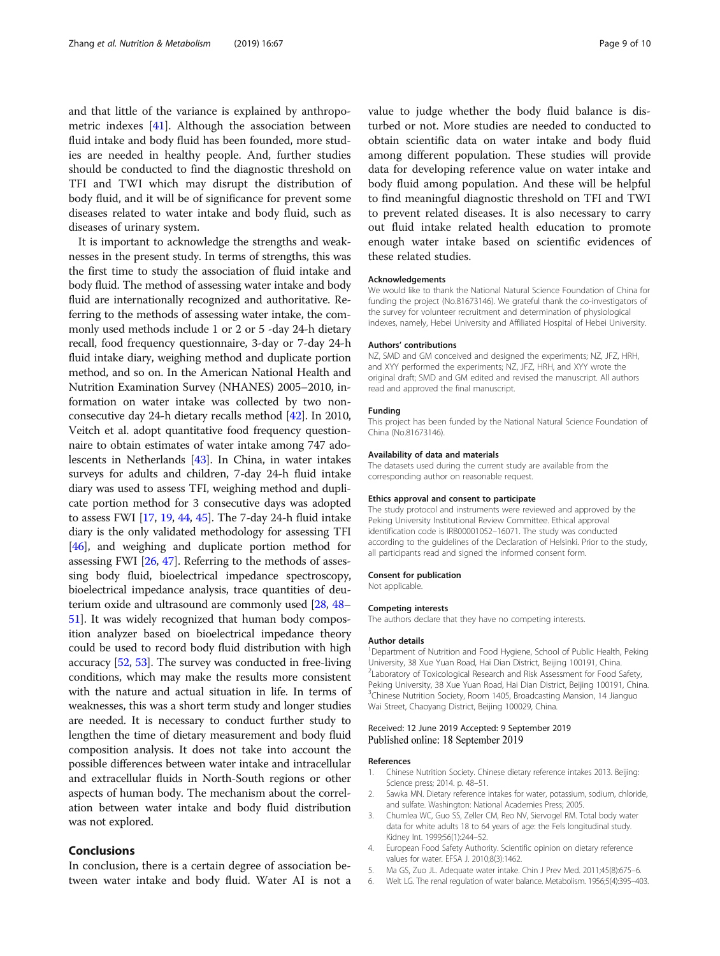<span id="page-8-0"></span>and that little of the variance is explained by anthropometric indexes [\[41](#page-9-0)]. Although the association between fluid intake and body fluid has been founded, more studies are needed in healthy people. And, further studies should be conducted to find the diagnostic threshold on TFI and TWI which may disrupt the distribution of body fluid, and it will be of significance for prevent some diseases related to water intake and body fluid, such as diseases of urinary system.

It is important to acknowledge the strengths and weaknesses in the present study. In terms of strengths, this was the first time to study the association of fluid intake and body fluid. The method of assessing water intake and body fluid are internationally recognized and authoritative. Referring to the methods of assessing water intake, the commonly used methods include 1 or 2 or 5 -day 24-h dietary recall, food frequency questionnaire, 3-day or 7-day 24-h fluid intake diary, weighing method and duplicate portion method, and so on. In the American National Health and Nutrition Examination Survey (NHANES) 2005–2010, information on water intake was collected by two nonconsecutive day 24-h dietary recalls method [[42](#page-9-0)]. In 2010, Veitch et al. adopt quantitative food frequency questionnaire to obtain estimates of water intake among 747 adolescents in Netherlands [\[43\]](#page-9-0). In China, in water intakes surveys for adults and children, 7-day 24-h fluid intake diary was used to assess TFI, weighing method and duplicate portion method for 3 consecutive days was adopted to assess FWI [\[17,](#page-9-0) [19](#page-9-0), [44](#page-9-0), [45\]](#page-9-0). The 7-day 24-h fluid intake diary is the only validated methodology for assessing TFI [[46](#page-9-0)], and weighing and duplicate portion method for assessing FWI [[26](#page-9-0), [47](#page-9-0)]. Referring to the methods of assessing body fluid, bioelectrical impedance spectroscopy, bioelectrical impedance analysis, trace quantities of deuterium oxide and ultrasound are commonly used [\[28,](#page-9-0) [48](#page-9-0)– [51](#page-9-0)]. It was widely recognized that human body composition analyzer based on bioelectrical impedance theory could be used to record body fluid distribution with high accuracy [\[52,](#page-9-0) [53\]](#page-9-0). The survey was conducted in free-living conditions, which may make the results more consistent with the nature and actual situation in life. In terms of weaknesses, this was a short term study and longer studies are needed. It is necessary to conduct further study to lengthen the time of dietary measurement and body fluid composition analysis. It does not take into account the possible differences between water intake and intracellular and extracellular fluids in North-South regions or other aspects of human body. The mechanism about the correlation between water intake and body fluid distribution was not explored.

## Conclusions

In conclusion, there is a certain degree of association between water intake and body fluid. Water AI is not a value to judge whether the body fluid balance is disturbed or not. More studies are needed to conducted to obtain scientific data on water intake and body fluid among different population. These studies will provide data for developing reference value on water intake and body fluid among population. And these will be helpful to find meaningful diagnostic threshold on TFI and TWI to prevent related diseases. It is also necessary to carry out fluid intake related health education to promote enough water intake based on scientific evidences of these related studies.

## Acknowledgements

We would like to thank the National Natural Science Foundation of China for funding the project (No.81673146). We grateful thank the co-investigators of the survey for volunteer recruitment and determination of physiological indexes, namely, Hebei University and Affiliated Hospital of Hebei University.

#### Authors' contributions

NZ, SMD and GM conceived and designed the experiments; NZ, JFZ, HRH, and XYY performed the experiments; NZ, JFZ, HRH, and XYY wrote the original draft; SMD and GM edited and revised the manuscript. All authors read and approved the final manuscript.

#### Funding

This project has been funded by the National Natural Science Foundation of China (No.81673146).

## Availability of data and materials

The datasets used during the current study are available from the corresponding author on reasonable request.

## Ethics approval and consent to participate

The study protocol and instruments were reviewed and approved by the Peking University Institutional Review Committee. Ethical approval identification code is IRB00001052–16071. The study was conducted according to the guidelines of the Declaration of Helsinki. Prior to the study, all participants read and signed the informed consent form.

#### Consent for publication

Not applicable.

### Competing interests

The authors declare that they have no competing interests.

#### Author details

<sup>1</sup>Department of Nutrition and Food Hygiene, School of Public Health, Peking University, 38 Xue Yuan Road, Hai Dian District, Beijing 100191, China. <sup>2</sup> Laboratory of Toxicological Research and Risk Assessment for Food Safety, Peking University, 38 Xue Yuan Road, Hai Dian District, Beijing 100191, China. <sup>3</sup>Chinese Nutrition Society, Room 1405, Broadcasting Mansion, 14 Jianguo Wai Street, Chaoyang District, Beijing 100029, China.

## Received: 12 June 2019 Accepted: 9 September 2019 Published online: 18 September 2019

### References

- 1. Chinese Nutrition Society. Chinese dietary reference intakes 2013. Beijing: Science press; 2014. p. 48–51.
- 2. Sawka MN. Dietary reference intakes for water, potassium, sodium, chloride, and sulfate. Washington: National Academies Press; 2005.
- 3. Chumlea WC, Guo SS, Zeller CM, Reo NV, Siervogel RM. Total body water data for white adults 18 to 64 years of age: the Fels longitudinal study. Kidney Int. 1999;56(1):244–52.
- 4. European Food Safety Authority. Scientific opinion on dietary reference values for water. EFSA J. 2010;8(3):1462.
- 5. Ma GS, Zuo JL. Adequate water intake. Chin J Prev Med. 2011;45(8):675–6.
- 6. Welt LG. The renal regulation of water balance. Metabolism. 1956;5(4):395–403.